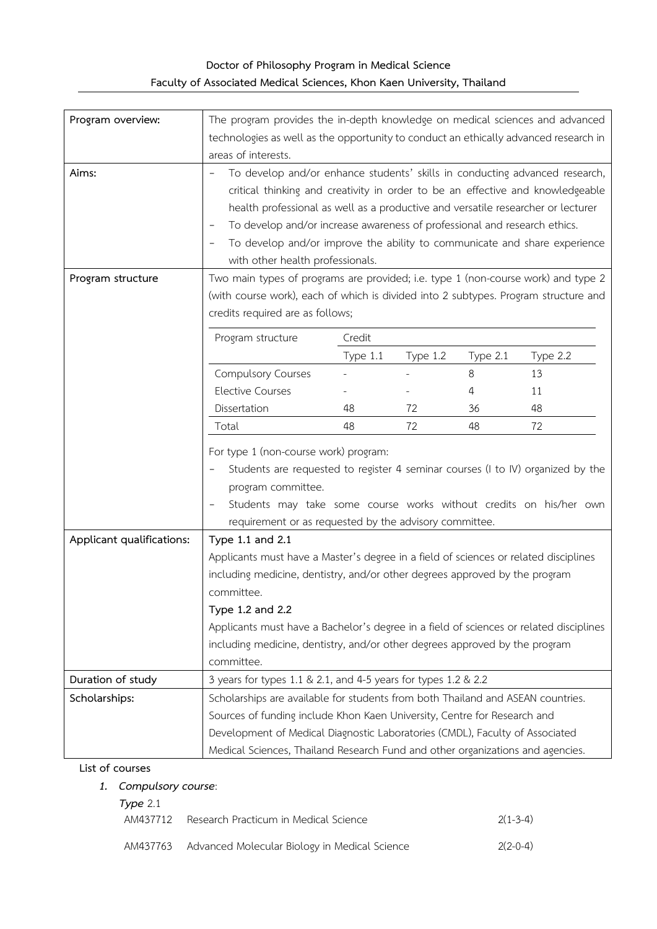# **Doctor of Philosophy Program in Medical Science Faculty of Associated Medical Sciences, Khon Kaen University, Thailand**

| Program overview:         | The program provides the in-depth knowledge on medical sciences and advanced<br>technologies as well as the opportunity to conduct an ethically advanced research in<br>areas of interests.                                                                                                                                                                                                                                                                          |          |          |          |          |  |
|---------------------------|----------------------------------------------------------------------------------------------------------------------------------------------------------------------------------------------------------------------------------------------------------------------------------------------------------------------------------------------------------------------------------------------------------------------------------------------------------------------|----------|----------|----------|----------|--|
| Aims:                     | To develop and/or enhance students' skills in conducting advanced research,<br>critical thinking and creativity in order to be an effective and knowledgeable<br>health professional as well as a productive and versatile researcher or lecturer<br>To develop and/or increase awareness of professional and research ethics.<br>$\qquad \qquad -$<br>To develop and/or improve the ability to communicate and share experience<br>with other health professionals. |          |          |          |          |  |
| Program structure         | Two main types of programs are provided; i.e. type 1 (non-course work) and type 2<br>(with course work), each of which is divided into 2 subtypes. Program structure and<br>credits required are as follows;                                                                                                                                                                                                                                                         |          |          |          |          |  |
|                           | Program structure                                                                                                                                                                                                                                                                                                                                                                                                                                                    | Credit   |          |          |          |  |
|                           |                                                                                                                                                                                                                                                                                                                                                                                                                                                                      | Type 1.1 | Type 1.2 | Type 2.1 | Type 2.2 |  |
|                           | <b>Compulsory Courses</b>                                                                                                                                                                                                                                                                                                                                                                                                                                            |          |          | 8        | 13       |  |
|                           | <b>Elective Courses</b>                                                                                                                                                                                                                                                                                                                                                                                                                                              |          |          | 4        | 11       |  |
|                           | Dissertation                                                                                                                                                                                                                                                                                                                                                                                                                                                         | 48       | 72<br>72 | 36       | 48       |  |
|                           | 48<br>48<br>72<br>Total<br>For type 1 (non-course work) program:<br>Students are requested to register 4 seminar courses (I to IV) organized by the<br>program committee.<br>Students may take some course works without credits on his/her own<br>requirement or as requested by the advisory committee.                                                                                                                                                            |          |          |          |          |  |
| Applicant qualifications: | Type 1.1 and 2.1                                                                                                                                                                                                                                                                                                                                                                                                                                                     |          |          |          |          |  |
|                           | Applicants must have a Master's degree in a field of sciences or related disciplines<br>including medicine, dentistry, and/or other degrees approved by the program<br>committee.<br>Type 1.2 and 2.2<br>Applicants must have a Bachelor's degree in a field of sciences or related disciplines<br>including medicine, dentistry, and/or other degrees approved by the program<br>committee.                                                                         |          |          |          |          |  |
| Duration of study         | 3 years for types 1.1 & 2.1, and 4-5 years for types 1.2 & 2.2                                                                                                                                                                                                                                                                                                                                                                                                       |          |          |          |          |  |
| Scholarships:             | Scholarships are available for students from both Thailand and ASEAN countries.<br>Sources of funding include Khon Kaen University, Centre for Research and<br>Development of Medical Diagnostic Laboratories (CMDL), Faculty of Associated<br>Medical Sciences, Thailand Research Fund and other organizations and agencies.                                                                                                                                        |          |          |          |          |  |

#### **List of courses**

## *1. Compulsory course*:

| Type $2.1$ |                                                        |            |
|------------|--------------------------------------------------------|------------|
| AM437712   | Research Practicum in Medical Science                  | $2(1-3-4)$ |
|            |                                                        |            |
|            | AM437763 Advanced Molecular Biology in Medical Science | $2(2-0-4)$ |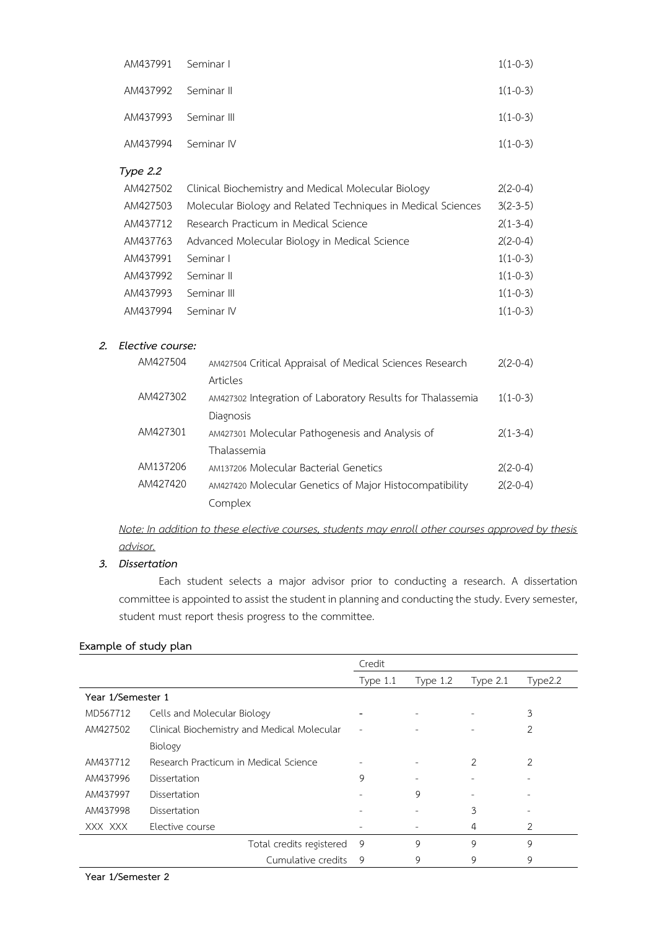| AM437991 Seminar I   | $1(1-0-3)$ |
|----------------------|------------|
| AM437992 Seminar II  | $1(1-0-3)$ |
| AM437993 Seminar III | $1(1-0-3)$ |
| AM437994 Seminar IV  | $1(1-0-3)$ |

#### *Type 2.2*

| AM427502 | Clinical Biochemistry and Medical Molecular Biology          | $2(2-0-4)$ |
|----------|--------------------------------------------------------------|------------|
| AM427503 | Molecular Biology and Related Techniques in Medical Sciences | $3(2-3-5)$ |
| AM437712 | Research Practicum in Medical Science                        | $2(1-3-4)$ |
| AM437763 | Advanced Molecular Biology in Medical Science                | $2(2-0-4)$ |
| AM437991 | Seminar I                                                    | $1(1-0-3)$ |
| AM437992 | Seminar II                                                   | $1(1-0-3)$ |
| AM437993 | Seminar III                                                  | $1(1-0-3)$ |
| AM437994 | Seminar IV                                                   | $1(1-0-3)$ |

### *2. Elective course:*

| AM427504 | AM427504 Critical Appraisal of Medical Sciences Research   | $2(2-0-4)$ |
|----------|------------------------------------------------------------|------------|
|          | Articles                                                   |            |
| AM427302 | AM427302 Integration of Laboratory Results for Thalassemia | $1(1-0-3)$ |
|          | Diagnosis                                                  |            |
| AM427301 | AM427301 Molecular Pathogenesis and Analysis of            | $2(1-3-4)$ |
|          | Thalassemia                                                |            |
| AM137206 | AM137206 Molecular Bacterial Genetics                      | $2(2-0-4)$ |
| AM427420 | AM427420 Molecular Genetics of Major Histocompatibility    | $2(2-0-4)$ |
|          | Complex                                                    |            |

*Note: In addition to these elective courses, students may enroll other courses approved by thesis advisor.*

### *3. Dissertation*

Each student selects a major advisor prior to conducting a research. A dissertation committee is appointed to assist the student in planning and conducting the study. Every semester, student must report thesis progress to the committee.

|                   |                                             | Credit                   |                          |          |                |
|-------------------|---------------------------------------------|--------------------------|--------------------------|----------|----------------|
|                   |                                             | Type $1.1$               | Type $1.2$               | Type 2.1 | Type2.2        |
| Year 1/Semester 1 |                                             |                          |                          |          |                |
| MD567712          | Cells and Molecular Biology                 |                          |                          |          | 3              |
| AM427502          | Clinical Biochemistry and Medical Molecular | $\overline{\phantom{0}}$ |                          |          | $\overline{2}$ |
|                   | Biology                                     |                          |                          |          |                |
| AM437712          | Research Practicum in Medical Science       |                          |                          | 2        | 2              |
| AM437996          | Dissertation                                | 9                        |                          |          |                |
| AM437997          | Dissertation                                |                          | 9                        |          |                |
| AM437998          | Dissertation                                |                          | $\overline{\phantom{0}}$ | 3        |                |
| XXX XXX           | Elective course                             |                          |                          | 4        | 2              |
|                   | Total credits registered                    | 9                        | 9                        | 9        | 9              |
|                   | Cumulative credits                          | 9                        | 9                        | 9        | 9              |

#### **Example of study plan**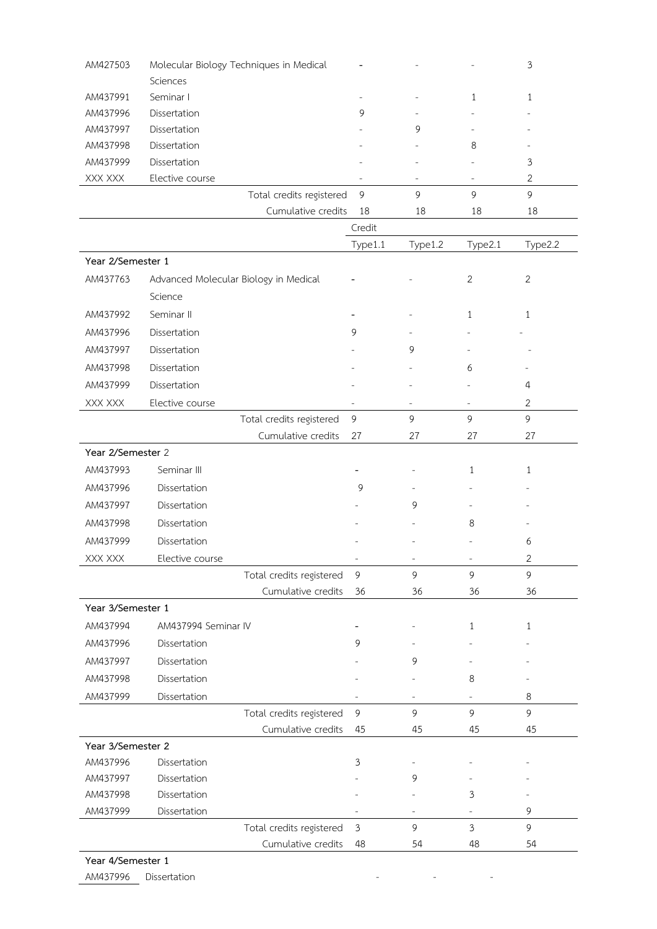| AM427503                                 | Molecular Biology Techniques in Medical |                                            |                          |                          | $\mathfrak{Z}$            |
|------------------------------------------|-----------------------------------------|--------------------------------------------|--------------------------|--------------------------|---------------------------|
| Sciences                                 |                                         |                                            |                          |                          |                           |
| AM437991<br>Seminar I                    |                                         |                                            |                          | 1                        | $\mathbf{1}$              |
| AM437996<br>Dissertation                 |                                         | 9                                          |                          |                          |                           |
| AM437997<br>Dissertation                 |                                         |                                            | 9                        |                          |                           |
| AM437998<br>Dissertation                 |                                         |                                            |                          | 8                        |                           |
| AM437999<br>Dissertation                 |                                         |                                            |                          |                          | $\ensuremath{\mathsf{3}}$ |
| XXX XXX<br>Elective course               |                                         |                                            | $\overline{\phantom{a}}$ | ÷                        | $\sqrt{2}$                |
|                                          | Total credits registered                | $\mathsf 9$                                | 9                        | 9                        | 9                         |
|                                          | Cumulative credits                      | 18                                         | 18                       | 18                       | 18                        |
|                                          |                                         | Credit                                     |                          |                          |                           |
|                                          |                                         | Type1.1                                    | Type1.2                  | Type2.1                  | Type2.2                   |
| Year 2/Semester 1                        |                                         |                                            |                          |                          |                           |
| AM437763<br>Science                      | Advanced Molecular Biology in Medical   |                                            |                          | $\mathbf{2}$             | $\overline{2}$            |
| AM437992<br>Seminar II                   |                                         |                                            |                          | 1                        | $\mathbf{1}$              |
| AM437996<br>Dissertation                 |                                         | 9                                          |                          |                          |                           |
| AM437997<br>Dissertation                 |                                         |                                            | 9                        |                          |                           |
| AM437998<br>Dissertation                 |                                         |                                            |                          | 6                        |                           |
| AM437999<br>Dissertation                 |                                         |                                            |                          |                          | 4                         |
| XXX XXX<br>Elective course               |                                         |                                            | $\qquad \qquad -$        | $\overline{\phantom{a}}$ | $\mathbf{2}$              |
|                                          | Total credits registered                | 9                                          | 9                        | $\overline{9}$           | 9                         |
|                                          | Cumulative credits                      | 27                                         | 27                       | 27                       | 27                        |
| Year 2/Semester 2                        |                                         |                                            |                          |                          |                           |
| Seminar III<br>AM437993                  |                                         |                                            |                          | $\mathbf{1}$             | 1                         |
| AM437996<br>Dissertation                 |                                         | 9                                          |                          |                          |                           |
| AM437997<br>Dissertation                 |                                         |                                            | 9                        |                          |                           |
| AM437998<br>Dissertation                 |                                         |                                            |                          | 8                        |                           |
| AM437999<br>Dissertation                 |                                         |                                            |                          |                          | 6                         |
|                                          |                                         |                                            |                          |                          |                           |
| Elective course<br>XXX XXX               | Total credits registered                | $\overline{\phantom{a}}$<br>$\overline{9}$ | 9                        | 9                        | $\mathbf{2}$<br>9         |
|                                          | Cumulative credits                      | 36                                         | 36                       | 36                       | 36                        |
| Year 3/Semester 1                        |                                         |                                            |                          |                          |                           |
| AM437994<br>AM437994 Seminar IV          |                                         |                                            |                          |                          |                           |
| Dissertation                             |                                         |                                            |                          | $\mathbf{1}$             | 1                         |
| AM437996                                 |                                         | 9                                          |                          |                          |                           |
| AM437997<br>Dissertation                 |                                         |                                            | 9                        |                          |                           |
| AM437998<br>Dissertation                 |                                         |                                            |                          | 8                        |                           |
| AM437999<br>Dissertation                 |                                         |                                            |                          |                          | 8                         |
|                                          | Total credits registered                | $\overline{9}$                             | 9                        | 9                        | 9                         |
|                                          | Cumulative credits                      | 45                                         | 45                       | 45                       | 45                        |
| Year 3/Semester 2                        |                                         |                                            |                          |                          |                           |
| AM437996<br>Dissertation                 |                                         | 3                                          |                          |                          |                           |
| AM437997<br>Dissertation<br>Dissertation |                                         |                                            | 9                        |                          |                           |
| AM437998<br>AM437999<br>Dissertation     |                                         |                                            |                          | 3                        | 9                         |
|                                          | Total credits registered                | 3                                          | 9                        | $\mathfrak{Z}$           | 9                         |
|                                          |                                         | 48                                         | 54                       | 48                       |                           |
|                                          | Cumulative credits                      |                                            |                          |                          | 54                        |

AM437996 Dissertation **Distribution AM437996** Dissertation